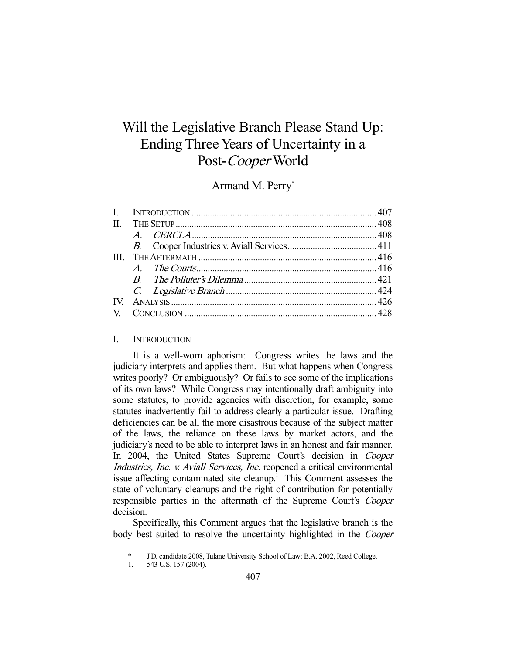# Will the Legislative Branch Please Stand Up: Ending Three Years of Uncertainty in a Post-Cooper World

## Armand M. Perry\*

| П. |  |  |  |
|----|--|--|--|
|    |  |  |  |
|    |  |  |  |
|    |  |  |  |
|    |  |  |  |
|    |  |  |  |
|    |  |  |  |
|    |  |  |  |
|    |  |  |  |
|    |  |  |  |

#### I. INTRODUCTION

 It is a well-worn aphorism: Congress writes the laws and the judiciary interprets and applies them. But what happens when Congress writes poorly? Or ambiguously? Or fails to see some of the implications of its own laws? While Congress may intentionally draft ambiguity into some statutes, to provide agencies with discretion, for example, some statutes inadvertently fail to address clearly a particular issue. Drafting deficiencies can be all the more disastrous because of the subject matter of the laws, the reliance on these laws by market actors, and the judiciary's need to be able to interpret laws in an honest and fair manner. In 2004, the United States Supreme Court's decision in Cooper Industries, Inc. v. Aviall Services, Inc. reopened a critical environmental issue affecting contaminated site cleanup.<sup>1</sup> This Comment assesses the state of voluntary cleanups and the right of contribution for potentially responsible parties in the aftermath of the Supreme Court's Cooper decision.

 Specifically, this Comment argues that the legislative branch is the body best suited to resolve the uncertainty highlighted in the *Cooper* 

J.D. candidate 2008, Tulane University School of Law; B.A. 2002, Reed College.

 <sup>1. 543</sup> U.S. 157 (2004).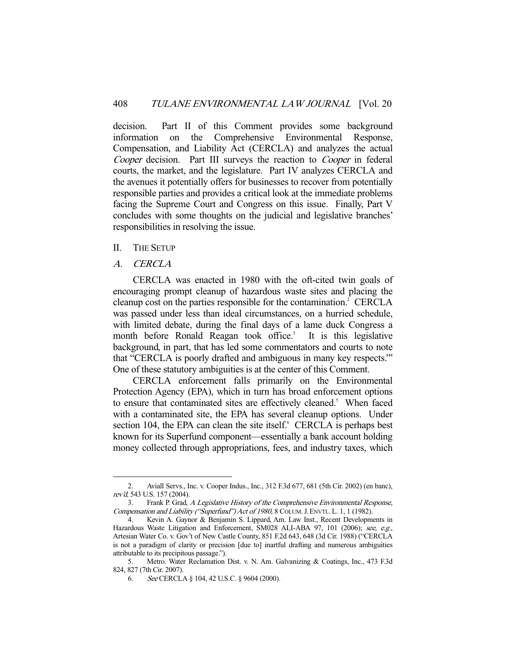decision. Part II of this Comment provides some background information on the Comprehensive Environmental Response, Compensation, and Liability Act (CERCLA) and analyzes the actual Cooper decision. Part III surveys the reaction to Cooper in federal courts, the market, and the legislature. Part IV analyzes CERCLA and the avenues it potentially offers for businesses to recover from potentially responsible parties and provides a critical look at the immediate problems facing the Supreme Court and Congress on this issue. Finally, Part V concludes with some thoughts on the judicial and legislative branches' responsibilities in resolving the issue.

## II. THE SETUP

## A. CERCLA

-

 CERCLA was enacted in 1980 with the oft-cited twin goals of encouraging prompt cleanup of hazardous waste sites and placing the cleanup cost on the parties responsible for the contamination.<sup>2</sup> CERCLA was passed under less than ideal circumstances, on a hurried schedule, with limited debate, during the final days of a lame duck Congress a month before Ronald Reagan took office.<sup>3</sup> It is this legislative background, in part, that has led some commentators and courts to note that "CERCLA is poorly drafted and ambiguous in many key respects."4 One of these statutory ambiguities is at the center of this Comment.

 CERCLA enforcement falls primarily on the Environmental Protection Agency (EPA), which in turn has broad enforcement options to ensure that contaminated sites are effectively cleaned.<sup>5</sup> When faced with a contaminated site, the EPA has several cleanup options. Under section 104, the EPA can clean the site itself. CERCLA is perhaps best known for its Superfund component—essentially a bank account holding money collected through appropriations, fees, and industry taxes, which

 <sup>2.</sup> Aviall Servs., Inc. v. Cooper Indus., Inc., 312 F.3d 677, 681 (5th Cir. 2002) (en banc), rev'd, 543 U.S. 157 (2004).

 <sup>3.</sup> Frank P. Grad, A Legislative History of the Comprehensive Environmental Response, Compensation and Liability ("Superfund") Act of 1980, 8 COLUM.J. ENVTL. L. 1, 1 (1982).

 <sup>4.</sup> Kevin A. Gaynor & Benjamin S. Lippard, Am. Law Inst., Recent Developments in Hazardous Waste Litigation and Enforcement, SM028 ALI-ABA 97, 101 (2006); see, e.g., Artesian Water Co. v. Gov't of New Castle County, 851 F.2d 643, 648 (3d Cir. 1988) ("CERCLA is not a paradigm of clarity or precision [due to] inartful drafting and numerous ambiguities attributable to its precipitous passage.").

 <sup>5.</sup> Metro. Water Reclamation Dist. v. N. Am. Galvanizing & Coatings, Inc., 473 F.3d 824, 827 (7th Cir. 2007).

 <sup>6.</sup> See CERCLA § 104, 42 U.S.C. § 9604 (2000).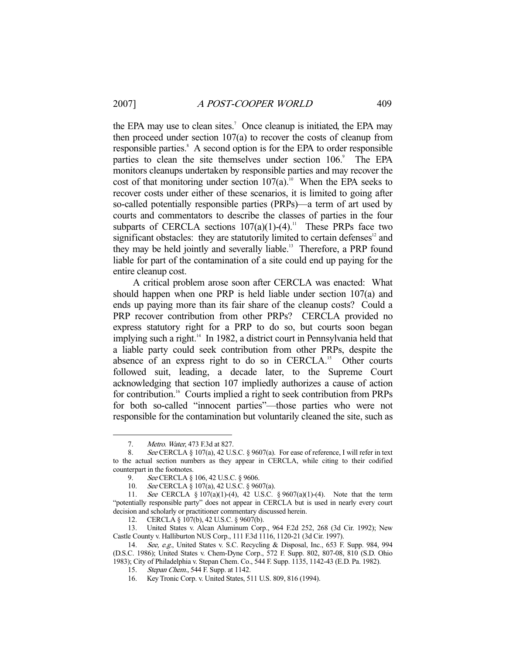the EPA may use to clean sites.<sup>7</sup> Once cleanup is initiated, the EPA may then proceed under section  $107(a)$  to recover the costs of cleanup from responsible parties.<sup>8</sup> A second option is for the EPA to order responsible parties to clean the site themselves under section 106.<sup>9</sup> The EPA monitors cleanups undertaken by responsible parties and may recover the cost of that monitoring under section  $107(a)$ .<sup>10</sup> When the EPA seeks to recover costs under either of these scenarios, it is limited to going after so-called potentially responsible parties (PRPs)—a term of art used by courts and commentators to describe the classes of parties in the four subparts of CERCLA sections  $107(a)(1)-(4)$ .<sup>11</sup> These PRPs face two significant obstacles: they are statutorily limited to certain defenses $12$  and they may be held jointly and severally liable.<sup>13</sup> Therefore, a PRP found liable for part of the contamination of a site could end up paying for the entire cleanup cost.

 A critical problem arose soon after CERCLA was enacted: What should happen when one PRP is held liable under section 107(a) and ends up paying more than its fair share of the cleanup costs? Could a PRP recover contribution from other PRPs? CERCLA provided no express statutory right for a PRP to do so, but courts soon began implying such a right.<sup>14</sup> In 1982, a district court in Pennsylvania held that a liable party could seek contribution from other PRPs, despite the absence of an express right to do so in CERCLA.<sup>15</sup> Other courts followed suit, leading, a decade later, to the Supreme Court acknowledging that section 107 impliedly authorizes a cause of action for contribution.<sup>16</sup> Courts implied a right to seek contribution from PRPs for both so-called "innocent parties"—those parties who were not responsible for the contamination but voluntarily cleaned the site, such as

 <sup>7.</sup> Metro. Water, 473 F.3d at 827.

<sup>8.</sup> See CERCLA § 107(a), 42 U.S.C. § 9607(a). For ease of reference, I will refer in text to the actual section numbers as they appear in CERCLA, while citing to their codified counterpart in the footnotes.

<sup>9.</sup> See CERCLA § 106, 42 U.S.C. § 9606.

 <sup>10.</sup> See CERCLA § 107(a), 42 U.S.C. § 9607(a).

 <sup>11.</sup> See CERCLA § 107(a)(1)-(4), 42 U.S.C. § 9607(a)(1)-(4). Note that the term "potentially responsible party" does not appear in CERCLA but is used in nearly every court decision and scholarly or practitioner commentary discussed herein.

 <sup>12.</sup> CERCLA § 107(b), 42 U.S.C. § 9607(b).

 <sup>13.</sup> United States v. Alcan Aluminum Corp., 964 F.2d 252, 268 (3d Cir. 1992); New Castle County v. Halliburton NUS Corp., 111 F.3d 1116, 1120-21 (3d Cir. 1997).

<sup>14.</sup> See, e.g., United States v. S.C. Recycling & Disposal, Inc., 653 F. Supp. 984, 994 (D.S.C. 1986); United States v. Chem-Dyne Corp., 572 F. Supp. 802, 807-08, 810 (S.D. Ohio 1983); City of Philadelphia v. Stepan Chem. Co., 544 F. Supp. 1135, 1142-43 (E.D. Pa. 1982).

<sup>15.</sup> Stepan Chem., 544 F. Supp. at 1142.

 <sup>16.</sup> Key Tronic Corp. v. United States, 511 U.S. 809, 816 (1994).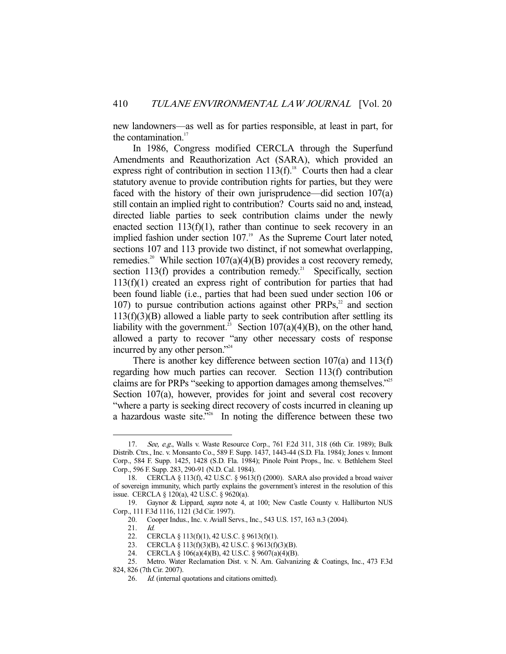new landowners—as well as for parties responsible, at least in part, for the contamination.<sup>17</sup>

 In 1986, Congress modified CERCLA through the Superfund Amendments and Reauthorization Act (SARA), which provided an express right of contribution in section  $113(f)$ <sup>18</sup>. Courts then had a clear statutory avenue to provide contribution rights for parties, but they were faced with the history of their own jurisprudence—did section 107(a) still contain an implied right to contribution? Courts said no and, instead, directed liable parties to seek contribution claims under the newly enacted section  $113(f)(1)$ , rather than continue to seek recovery in an implied fashion under section  $107<sup>19</sup>$  As the Supreme Court later noted, sections 107 and 113 provide two distinct, if not somewhat overlapping, remedies.<sup>20</sup> While section 107(a)(4)(B) provides a cost recovery remedy, section 113(f) provides a contribution remedy.<sup>21</sup> Specifically, section 113(f)(1) created an express right of contribution for parties that had been found liable (i.e., parties that had been sued under section 106 or 107) to pursue contribution actions against other  $PRPs<sub>1</sub><sup>22</sup>$  and section  $113(f)(3)(B)$  allowed a liable party to seek contribution after settling its liability with the government.<sup>23</sup> Section 107(a)(4)(B), on the other hand, allowed a party to recover "any other necessary costs of response incurred by any other person."24

 There is another key difference between section 107(a) and 113(f) regarding how much parties can recover. Section 113(f) contribution claims are for PRPs "seeking to apportion damages among themselves."25 Section 107(a), however, provides for joint and several cost recovery "where a party is seeking direct recovery of costs incurred in cleaning up a hazardous waste site."<sup>26</sup> In noting the difference between these two

<sup>17.</sup> See, e.g., Walls v. Waste Resource Corp., 761 F.2d 311, 318 (6th Cir. 1989); Bulk Distrib. Ctrs., Inc. v. Monsanto Co., 589 F. Supp. 1437, 1443-44 (S.D. Fla. 1984); Jones v. Inmont Corp., 584 F. Supp. 1425, 1428 (S.D. Fla. 1984); Pinole Point Props., Inc. v. Bethlehem Steel Corp., 596 F. Supp. 283, 290-91 (N.D. Cal. 1984).

 <sup>18.</sup> CERCLA § 113(f), 42 U.S.C. § 9613(f) (2000). SARA also provided a broad waiver of sovereign immunity, which partly explains the government's interest in the resolution of this issue. CERCLA § 120(a), 42 U.S.C. § 9620(a).

<sup>19.</sup> Gaynor & Lippard, supra note 4, at 100; New Castle County v. Halliburton NUS Corp., 111 F.3d 1116, 1121 (3d Cir. 1997).

 <sup>20.</sup> Cooper Indus., Inc. v. Aviall Servs., Inc., 543 U.S. 157, 163 n.3 (2004).

 <sup>21.</sup> Id.

<sup>22.</sup> CERCLA § 113(f)(1), 42 U.S.C. § 9613(f)(1).<br>23. CERCLA § 113(f)(3)(B), 42 U.S.C. § 9613(f)(3)(B). 23. CERCLA § 113(f)(3)(B), 42 U.S.C. § 9613(f)(3)(B).

 <sup>24.</sup> CERCLA § 106(a)(4)(B), 42 U.S.C. § 9607(a)(4)(B).

 <sup>25.</sup> Metro. Water Reclamation Dist. v. N. Am. Galvanizing & Coatings, Inc., 473 F.3d 824, 826 (7th Cir. 2007).

<sup>26.</sup> Id. (internal quotations and citations omitted).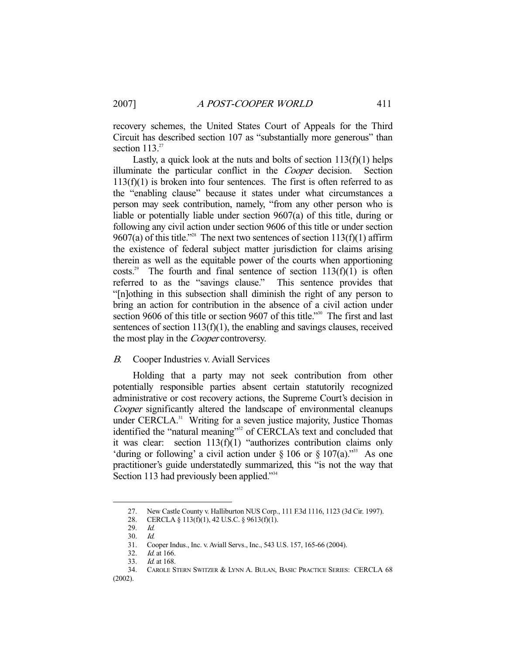recovery schemes, the United States Court of Appeals for the Third Circuit has described section 107 as "substantially more generous" than section  $113.<sup>27</sup>$ 

Lastly, a quick look at the nuts and bolts of section  $113(f)(1)$  helps illuminate the particular conflict in the Cooper decision. Section  $113(f)(1)$  is broken into four sentences. The first is often referred to as the "enabling clause" because it states under what circumstances a person may seek contribution, namely, "from any other person who is liable or potentially liable under section 9607(a) of this title, during or following any civil action under section 9606 of this title or under section 9607(a) of this title."<sup>28</sup> The next two sentences of section  $113(f)(1)$  affirm the existence of federal subject matter jurisdiction for claims arising therein as well as the equitable power of the courts when apportioning costs.<sup>29</sup> The fourth and final sentence of section  $113(f)(1)$  is often referred to as the "savings clause." This sentence provides that "[n]othing in this subsection shall diminish the right of any person to bring an action for contribution in the absence of a civil action under section 9606 of this title or section 9607 of this title."<sup>30</sup> The first and last sentences of section 113(f)(1), the enabling and savings clauses, received the most play in the *Cooper* controversy.

## B. Cooper Industries v. Aviall Services

 Holding that a party may not seek contribution from other potentially responsible parties absent certain statutorily recognized administrative or cost recovery actions, the Supreme Court's decision in Cooper significantly altered the landscape of environmental cleanups under CERCLA.<sup>31</sup> Writing for a seven justice majority, Justice Thomas identified the "natural meaning"<sup>32</sup> of CERCLA's text and concluded that it was clear: section 113(f)(1) "authorizes contribution claims only 'during or following' a civil action under  $\S 106$  or  $\S 107(a)$ ."<sup>33</sup> As one practitioner's guide understatedly summarized, this "is not the way that Section 113 had previously been applied."<sup>34</sup>

 <sup>27.</sup> New Castle County v. Halliburton NUS Corp., 111 F.3d 1116, 1123 (3d Cir. 1997).

 <sup>28.</sup> CERCLA § 113(f)(1), 42 U.S.C. § 9613(f)(1).

 <sup>29.</sup> Id.

 <sup>30.</sup> Id.

 <sup>31.</sup> Cooper Indus., Inc. v. Aviall Servs., Inc., 543 U.S. 157, 165-66 (2004).

<sup>32.</sup> *Id.* at 166.

 <sup>33.</sup> Id. at 168.

 <sup>34.</sup> CAROLE STERN SWITZER & LYNN A. BULAN, BASIC PRACTICE SERIES: CERCLA 68 (2002).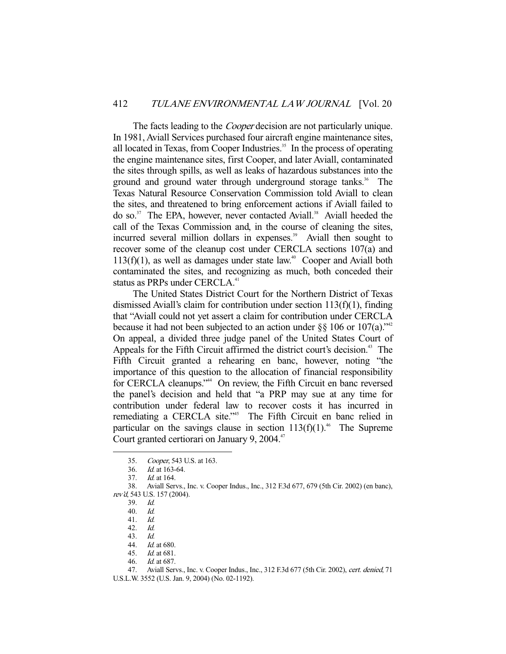The facts leading to the *Cooper* decision are not particularly unique. In 1981, Aviall Services purchased four aircraft engine maintenance sites, all located in Texas, from Cooper Industries.<sup>35</sup> In the process of operating the engine maintenance sites, first Cooper, and later Aviall, contaminated the sites through spills, as well as leaks of hazardous substances into the ground and ground water through underground storage tanks.<sup>36</sup> The Texas Natural Resource Conservation Commission told Aviall to clean the sites, and threatened to bring enforcement actions if Aviall failed to do so. $37$  The EPA, however, never contacted Aviall.<sup>38</sup> Aviall heeded the call of the Texas Commission and, in the course of cleaning the sites, incurred several million dollars in expenses.<sup>39</sup> Aviall then sought to recover some of the cleanup cost under CERCLA sections 107(a) and  $113(f)(1)$ , as well as damages under state law.<sup>40</sup> Cooper and Aviall both contaminated the sites, and recognizing as much, both conceded their status as PRPs under CERCLA.<sup>41</sup>

 The United States District Court for the Northern District of Texas dismissed Aviall's claim for contribution under section 113(f)(1), finding that "Aviall could not yet assert a claim for contribution under CERCLA because it had not been subjected to an action under §§ 106 or 107(a).<sup>342</sup> On appeal, a divided three judge panel of the United States Court of Appeals for the Fifth Circuit affirmed the district court's decision.<sup>43</sup> The Fifth Circuit granted a rehearing en banc, however, noting "the importance of this question to the allocation of financial responsibility for CERCLA cleanups."<sup>44</sup> On review, the Fifth Circuit en banc reversed the panel's decision and held that "a PRP may sue at any time for contribution under federal law to recover costs it has incurred in remediating a CERCLA site.<sup>"55</sup> The Fifth Circuit en banc relied in particular on the savings clause in section  $113(f)(1)$ .<sup>46</sup> The Supreme Court granted certiorari on January 9, 2004. $47$ 

-

46. Id. at 687.

 <sup>35.</sup> Cooper, 543 U.S. at 163.

 <sup>36.</sup> Id. at 163-64.

 <sup>37.</sup> Id. at 164.

 <sup>38.</sup> Aviall Servs., Inc. v. Cooper Indus., Inc., 312 F.3d 677, 679 (5th Cir. 2002) (en banc), rev'd, 543 U.S. 157 (2004).

 <sup>39.</sup> Id.

<sup>40.</sup>  $\frac{Id}{41}$ .  $\frac{Id}{d}$ .  $41.$ 

 <sup>42.</sup> Id.

 <sup>43.</sup> Id.

 <sup>44.</sup> Id. at 680.

 <sup>45.</sup> Id. at 681.

<sup>47.</sup> Aviall Servs., Inc. v. Cooper Indus., Inc., 312 F.3d 677 (5th Cir. 2002), cert. denied, 71 U.S.L.W. 3552 (U.S. Jan. 9, 2004) (No. 02-1192).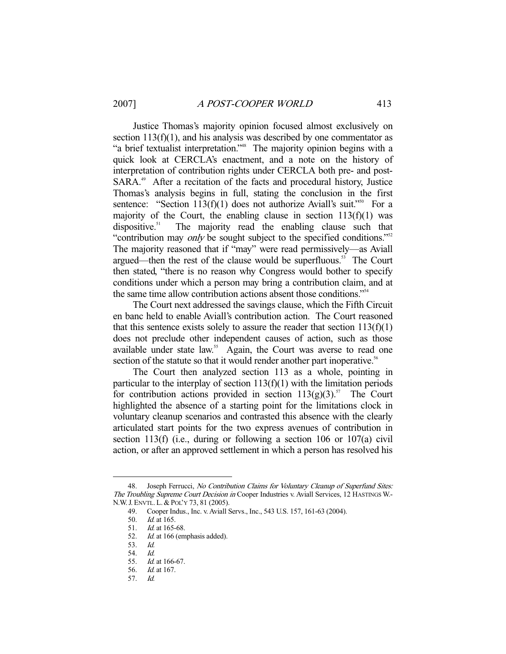Justice Thomas's majority opinion focused almost exclusively on section  $113(f)(1)$ , and his analysis was described by one commentator as "a brief textualist interpretation."<sup>48</sup> The majority opinion begins with a quick look at CERCLA's enactment, and a note on the history of interpretation of contribution rights under CERCLA both pre- and post-SARA.<sup>49</sup> After a recitation of the facts and procedural history, Justice Thomas's analysis begins in full, stating the conclusion in the first sentence: "Section 113(f)(1) does not authorize Aviall's suit."<sup>50</sup> For a majority of the Court, the enabling clause in section  $113(f)(1)$  was dispositive.<sup>51</sup> The majority read the enabling clause such that "contribution may *only* be sought subject to the specified conditions."<sup>52</sup> The majority reasoned that if "may" were read permissively—as Aviall argued—then the rest of the clause would be superfluous.<sup>53</sup> The Court then stated, "there is no reason why Congress would bother to specify conditions under which a person may bring a contribution claim, and at the same time allow contribution actions absent those conditions."54

 The Court next addressed the savings clause, which the Fifth Circuit en banc held to enable Aviall's contribution action. The Court reasoned that this sentence exists solely to assure the reader that section  $113(f)(1)$ does not preclude other independent causes of action, such as those available under state law.<sup>55</sup> Again, the Court was averse to read one section of the statute so that it would render another part inoperative.<sup>56</sup>

 The Court then analyzed section 113 as a whole, pointing in particular to the interplay of section  $113(f)(1)$  with the limitation periods for contribution actions provided in section  $113(g)(3)$ .<sup>57</sup> The Court highlighted the absence of a starting point for the limitations clock in voluntary cleanup scenarios and contrasted this absence with the clearly articulated start points for the two express avenues of contribution in section 113(f) (i.e., during or following a section 106 or 107(a) civil action, or after an approved settlement in which a person has resolved his

<sup>48.</sup> Joseph Ferrucci, No Contribution Claims for Voluntary Cleanup of Superfund Sites: The Troubling Supreme Court Decision in Cooper Industries v. Aviall Services, 12 HASTINGS W.- N.W.J. ENVTL. L. & POL'Y 73, 81 (2005).

 <sup>49.</sup> Cooper Indus., Inc. v. Aviall Servs., Inc., 543 U.S. 157, 161-63 (2004).

 <sup>50.</sup> Id. at 165.

 <sup>51.</sup> Id. at 165-68.

<sup>52.</sup> *Id.* at 166 (emphasis added).

 <sup>53.</sup> Id.

 <sup>54.</sup> Id.

<sup>55.</sup> *Id.* at 166-67.<br>56. *Id.* at 167.

*Id.* at 167.

 <sup>57.</sup> Id.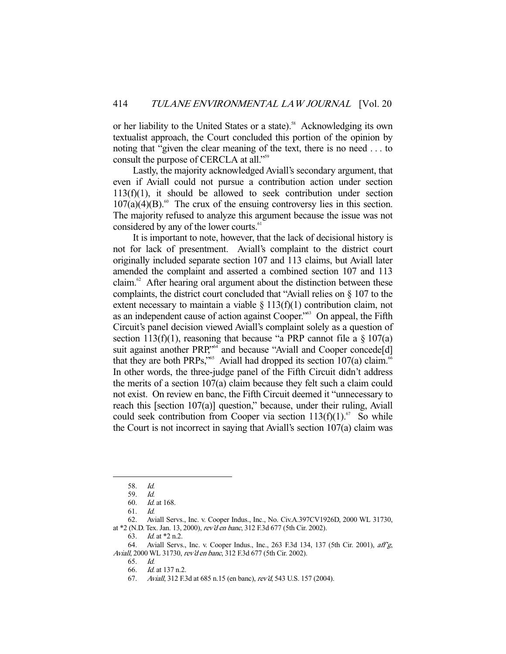or her liability to the United States or a state).<sup>58</sup> Acknowledging its own textualist approach, the Court concluded this portion of the opinion by noting that "given the clear meaning of the text, there is no need . . . to consult the purpose of CERCLA at all."<sup>59</sup>

 Lastly, the majority acknowledged Aviall's secondary argument, that even if Aviall could not pursue a contribution action under section 113(f)(1), it should be allowed to seek contribution under section  $107(a)(4)(B)$ .<sup>60</sup> The crux of the ensuing controversy lies in this section. The majority refused to analyze this argument because the issue was not considered by any of the lower courts.<sup>61</sup>

 It is important to note, however, that the lack of decisional history is not for lack of presentment. Aviall's complaint to the district court originally included separate section 107 and 113 claims, but Aviall later amended the complaint and asserted a combined section 107 and 113 claim. $62$  After hearing oral argument about the distinction between these complaints, the district court concluded that "Aviall relies on § 107 to the extent necessary to maintain a viable  $\S 113(f)(1)$  contribution claim, not as an independent cause of action against Cooper."<sup>63</sup> On appeal, the Fifth Circuit's panel decision viewed Aviall's complaint solely as a question of section 113(f)(1), reasoning that because "a PRP cannot file a  $\S 107(a)$ suit against another PRP,"<sup>64</sup> and because "Aviall and Cooper concede<sup>[d]</sup> that they are both PRPs,"<sup>65</sup> Aviall had dropped its section  $107(a)$  claim.<sup>66</sup> In other words, the three-judge panel of the Fifth Circuit didn't address the merits of a section 107(a) claim because they felt such a claim could not exist. On review en banc, the Fifth Circuit deemed it "unnecessary to reach this [section 107(a)] question," because, under their ruling, Aviall could seek contribution from Cooper via section  $113(f)(1)$ .<sup>67</sup> So while the Court is not incorrect in saying that Aviall's section 107(a) claim was

-

63. Id. at \*2 n.2.

 <sup>58.</sup> Id.

 <sup>59.</sup> Id.

 <sup>60.</sup> Id. at 168.

 <sup>61.</sup> Id.

 <sup>62.</sup> Aviall Servs., Inc. v. Cooper Indus., Inc., No. Civ.A.397CV1926D, 2000 WL 31730, at \*2 (N.D. Tex. Jan. 13, 2000), rev'd en banc, 312 F.3d 677 (5th Cir. 2002).

<sup>64.</sup> Aviall Servs., Inc. v. Cooper Indus., Inc., 263 F.3d 134, 137 (5th Cir. 2001), aff'g, Aviall, 2000 WL 31730, rev'd en banc, 312 F.3d 677 (5th Cir. 2002).

 <sup>65.</sup> Id.

 <sup>66.</sup> Id. at 137 n.2.

 <sup>67.</sup> Aviall, 312 F.3d at 685 n.15 (en banc), rev'd, 543 U.S. 157 (2004).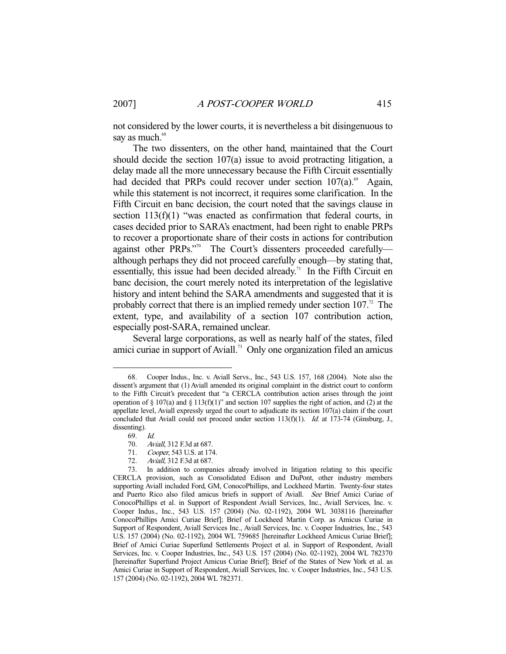not considered by the lower courts, it is nevertheless a bit disingenuous to say as much.<sup>68</sup>

 The two dissenters, on the other hand, maintained that the Court should decide the section 107(a) issue to avoid protracting litigation, a delay made all the more unnecessary because the Fifth Circuit essentially had decided that PRPs could recover under section  $107(a)$ .<sup>69</sup> Again, while this statement is not incorrect, it requires some clarification. In the Fifth Circuit en banc decision, the court noted that the savings clause in section 113(f)(1) "was enacted as confirmation that federal courts, in cases decided prior to SARA's enactment, had been right to enable PRPs to recover a proportionate share of their costs in actions for contribution against other PRPs."70 The Court's dissenters proceeded carefullyalthough perhaps they did not proceed carefully enough—by stating that, essentially, this issue had been decided already.<sup>71</sup> In the Fifth Circuit en banc decision, the court merely noted its interpretation of the legislative history and intent behind the SARA amendments and suggested that it is probably correct that there is an implied remedy under section  $107$ .<sup>72</sup> The extent, type, and availability of a section 107 contribution action, especially post-SARA, remained unclear.

 Several large corporations, as well as nearly half of the states, filed amici curiae in support of Aviall.73 Only one organization filed an amicus

-

71. *Cooper*, 543 U.S. at 174.<br>72. Aviall, 312 F.3d at 687. Aviall, 312 F.3d at 687.

 <sup>68.</sup> Cooper Indus., Inc. v. Aviall Servs., Inc., 543 U.S. 157, 168 (2004). Note also the dissent's argument that (1) Aviall amended its original complaint in the district court to conform to the Fifth Circuit's precedent that "a CERCLA contribution action arises through the joint operation of  $\S 107(a)$  and  $\S 113(f)(1)$ " and section 107 supplies the right of action, and (2) at the appellate level, Aviall expressly urged the court to adjudicate its section 107(a) claim if the court concluded that Aviall could not proceed under section  $113(f)(1)$ . *Id.* at 173-74 (Ginsburg, J., dissenting).

 <sup>69.</sup> Id.

 <sup>70.</sup> Aviall, 312 F.3d at 687.

 <sup>73.</sup> In addition to companies already involved in litigation relating to this specific CERCLA provision, such as Consolidated Edison and DuPont, other industry members supporting Aviall included Ford, GM, ConocoPhillips, and Lockheed Martin. Twenty-four states and Puerto Rico also filed amicus briefs in support of Aviall. See Brief Amici Curiae of ConocoPhillips et al. in Support of Respondent Aviall Services, Inc., Aviall Services, Inc. v. Cooper Indus., Inc., 543 U.S. 157 (2004) (No. 02-1192), 2004 WL 3038116 [hereinafter ConocoPhillips Amici Curiae Brief]; Brief of Lockheed Martin Corp. as Amicus Curiae in Support of Respondent, Aviall Services Inc., Aviall Services, Inc. v. Cooper Industries, Inc., 543 U.S. 157 (2004) (No. 02-1192), 2004 WL 759685 [hereinafter Lockheed Amicus Curiae Brief]; Brief of Amici Curiae Superfund Settlements Project et al. in Support of Respondent, Aviall Services, Inc. v. Cooper Industries, Inc., 543 U.S. 157 (2004) (No. 02-1192), 2004 WL 782370 [hereinafter Superfund Project Amicus Curiae Brief]; Brief of the States of New York et al. as Amici Curiae in Support of Respondent, Aviall Services, Inc. v. Cooper Industries, Inc., 543 U.S. 157 (2004) (No. 02-1192), 2004 WL 782371.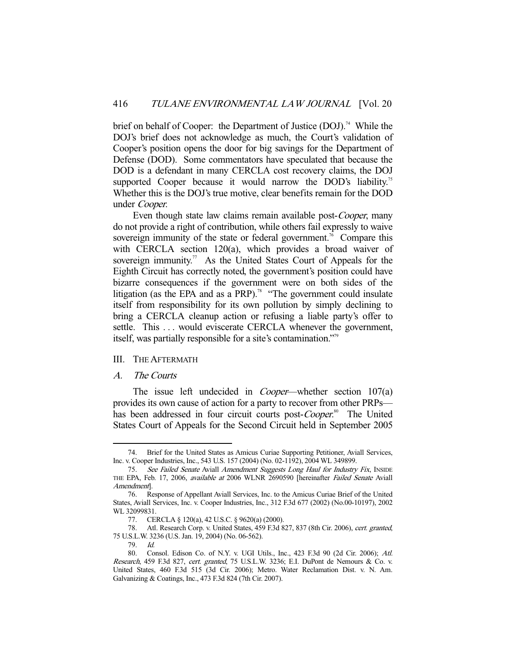brief on behalf of Cooper: the Department of Justice (DOJ).<sup>74</sup> While the DOJ's brief does not acknowledge as much, the Court's validation of Cooper's position opens the door for big savings for the Department of Defense (DOD). Some commentators have speculated that because the DOD is a defendant in many CERCLA cost recovery claims, the DOJ supported Cooper because it would narrow the DOD's liability.<sup>75</sup> Whether this is the DOJ's true motive, clear benefits remain for the DOD under Cooper.

Even though state law claims remain available post-Cooper, many do not provide a right of contribution, while others fail expressly to waive sovereign immunity of the state or federal government.<sup>76</sup> Compare this with CERCLA section 120(a), which provides a broad waiver of sovereign immunity.<sup>77</sup> As the United States Court of Appeals for the Eighth Circuit has correctly noted, the government's position could have bizarre consequences if the government were on both sides of the litigation (as the EPA and as a PRP).<sup>78</sup> "The government could insulate itself from responsibility for its own pollution by simply declining to bring a CERCLA cleanup action or refusing a liable party's offer to settle. This ... would eviscerate CERCLA whenever the government, itself, was partially responsible for a site's contamination."79

#### III. THE AFTERMATH

#### A. The Courts

-

The issue left undecided in *Cooper*—whether section 107(a) provides its own cause of action for a party to recover from other PRPs has been addressed in four circuit courts post-Cooper.<sup>80</sup> The United States Court of Appeals for the Second Circuit held in September 2005

 <sup>74.</sup> Brief for the United States as Amicus Curiae Supporting Petitioner, Aviall Services, Inc. v. Cooper Industries, Inc., 543 U.S. 157 (2004) (No. 02-1192), 2004 WL 349899.

<sup>75.</sup> See Failed Senate Aviall Amendment Suggests Long Haul for Industry Fix, INSIDE THE EPA, Feb. 17, 2006, available at 2006 WLNR 2690590 [hereinafter Failed Senate Aviall Amendment].

 <sup>76.</sup> Response of Appellant Aviall Services, Inc. to the Amicus Curiae Brief of the United States, Aviall Services, Inc. v. Cooper Industries, Inc., 312 F.3d 677 (2002) (No.00-10197), 2002 WL 32099831.

 <sup>77.</sup> CERCLA § 120(a), 42 U.S.C. § 9620(a) (2000).

<sup>78.</sup> Atl. Research Corp. v. United States, 459 F.3d 827, 837 (8th Cir. 2006), cert. granted, 75 U.S.L.W. 3236 (U.S. Jan. 19, 2004) (No. 06-562).

 <sup>79.</sup> Id.

 <sup>80.</sup> Consol. Edison Co. of N.Y. v. UGI Utils., Inc., 423 F.3d 90 (2d Cir. 2006); Atl. Research, 459 F.3d 827, cert. granted, 75 U.S.L.W. 3236; E.I. DuPont de Nemours & Co. v. United States, 460 F.3d 515 (3d Cir. 2006); Metro. Water Reclamation Dist. v. N. Am. Galvanizing & Coatings, Inc., 473 F.3d 824 (7th Cir. 2007).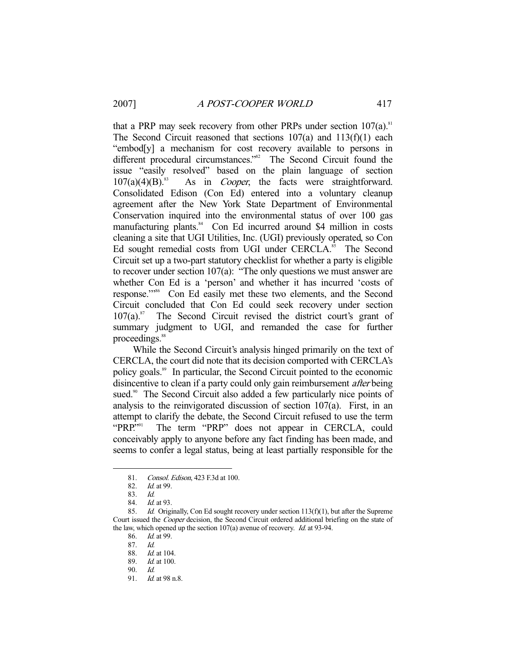that a PRP may seek recovery from other PRPs under section  $107(a)$ .<sup>81</sup> The Second Circuit reasoned that sections 107(a) and 113(f)(1) each "embod[y] a mechanism for cost recovery available to persons in different procedural circumstances."<sup>82</sup> The Second Circuit found the issue "easily resolved" based on the plain language of section  $107(a)(4)(B)$ .<sup>83</sup> As in *Cooper*, the facts were straightforward. Consolidated Edison (Con Ed) entered into a voluntary cleanup agreement after the New York State Department of Environmental Conservation inquired into the environmental status of over 100 gas manufacturing plants.<sup>84</sup> Con Ed incurred around \$4 million in costs cleaning a site that UGI Utilities, Inc. (UGI) previously operated, so Con Ed sought remedial costs from UGI under CERCLA.<sup>85</sup> The Second Circuit set up a two-part statutory checklist for whether a party is eligible to recover under section 107(a): "The only questions we must answer are whether Con Ed is a 'person' and whether it has incurred 'costs of response.'"86 Con Ed easily met these two elements, and the Second Circuit concluded that Con Ed could seek recovery under section  $107(a).^{87}$  The Second Circuit revised the district court's grant of summary judgment to UGI, and remanded the case for further proceedings.<sup>88</sup>

 While the Second Circuit's analysis hinged primarily on the text of CERCLA, the court did note that its decision comported with CERCLA's policy goals.89 In particular, the Second Circuit pointed to the economic disincentive to clean if a party could only gain reimbursement *after* being sued.<sup>90</sup> The Second Circuit also added a few particularly nice points of analysis to the reinvigorated discussion of section  $107(a)$ . First, in an attempt to clarify the debate, the Second Circuit refused to use the term "PRP."<sup>91</sup> The term "PRP" does not appear in CERCLA, could conceivably apply to anyone before any fact finding has been made, and seems to confer a legal status, being at least partially responsible for the

<sup>81.</sup> Consol. Edison, 423 F.3d at 100.<br>82. Id. at 99.

Id. at 99.

 <sup>83.</sup> Id.

 <sup>84.</sup> Id. at 93.

 <sup>85.</sup> Id. Originally, Con Ed sought recovery under section 113(f)(1), but after the Supreme Court issued the *Cooper* decision, the Second Circuit ordered additional briefing on the state of the law, which opened up the section 107(a) avenue of recovery. Id. at 93-94.

 <sup>86.</sup> Id. at 99.

 <sup>87.</sup> Id.

 <sup>88.</sup> Id. at 104.

 <sup>89.</sup> Id. at 100.

 <sup>90.</sup> Id.

 <sup>91.</sup> Id. at 98 n.8.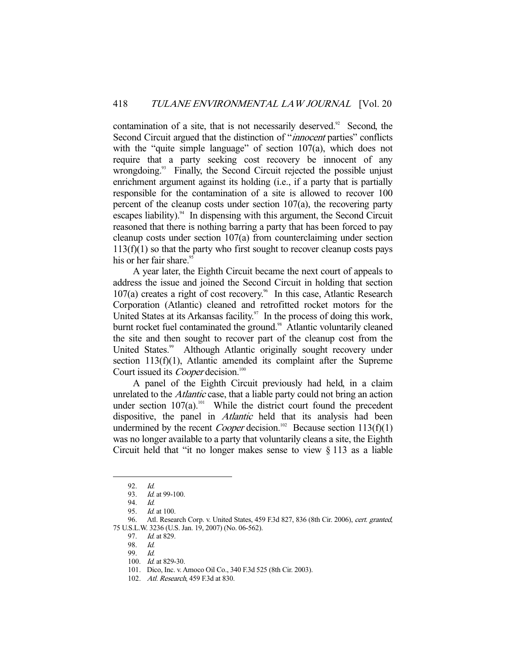contamination of a site, that is not necessarily deserved.<sup>92</sup> Second, the Second Circuit argued that the distinction of "*innocent* parties" conflicts with the "quite simple language" of section 107(a), which does not require that a party seeking cost recovery be innocent of any wrongdoing.<sup>93</sup> Finally, the Second Circuit rejected the possible unjust enrichment argument against its holding *(i.e., if a party that is partially* responsible for the contamination of a site is allowed to recover 100 percent of the cleanup costs under section 107(a), the recovering party escapes liability). $94$  In dispensing with this argument, the Second Circuit reasoned that there is nothing barring a party that has been forced to pay cleanup costs under section 107(a) from counterclaiming under section  $113(f)(1)$  so that the party who first sought to recover cleanup costs pays his or her fair share.<sup>95</sup>

 A year later, the Eighth Circuit became the next court of appeals to address the issue and joined the Second Circuit in holding that section  $107(a)$  creates a right of cost recovery.<sup>96</sup> In this case, Atlantic Research Corporation (Atlantic) cleaned and retrofitted rocket motors for the United States at its Arkansas facility.<sup>97</sup> In the process of doing this work, burnt rocket fuel contaminated the ground.<sup>98</sup> Atlantic voluntarily cleaned the site and then sought to recover part of the cleanup cost from the United States.<sup>99</sup> Although Atlantic originally sought recovery under section 113(f)(1), Atlantic amended its complaint after the Supreme Court issued its *Cooper* decision.<sup>100</sup>

 A panel of the Eighth Circuit previously had held, in a claim unrelated to the *Atlantic* case, that a liable party could not bring an action under section  $107(a)$ .<sup>101</sup> While the district court found the precedent dispositive, the panel in *Atlantic* held that its analysis had been undermined by the recent *Cooper* decision.<sup>102</sup> Because section 113(f)(1) was no longer available to a party that voluntarily cleans a site, the Eighth Circuit held that "it no longer makes sense to view § 113 as a liable

 <sup>92.</sup> Id.

<sup>93.</sup> *Id.* at 99-100.

 <sup>94.</sup> Id.

 <sup>95.</sup> Id. at 100.

<sup>96.</sup> Atl. Research Corp. v. United States, 459 F.3d 827, 836 (8th Cir. 2006), cert. granted, 75 U.S.L.W. 3236 (U.S. Jan. 19, 2007) (No. 06-562).

 <sup>97.</sup> Id. at 829.

 <sup>98.</sup> Id.

 <sup>99.</sup> Id.

 <sup>100.</sup> Id. at 829-30.

 <sup>101.</sup> Dico, Inc. v. Amoco Oil Co., 340 F.3d 525 (8th Cir. 2003).

<sup>102.</sup> Atl. Research, 459 F.3d at 830.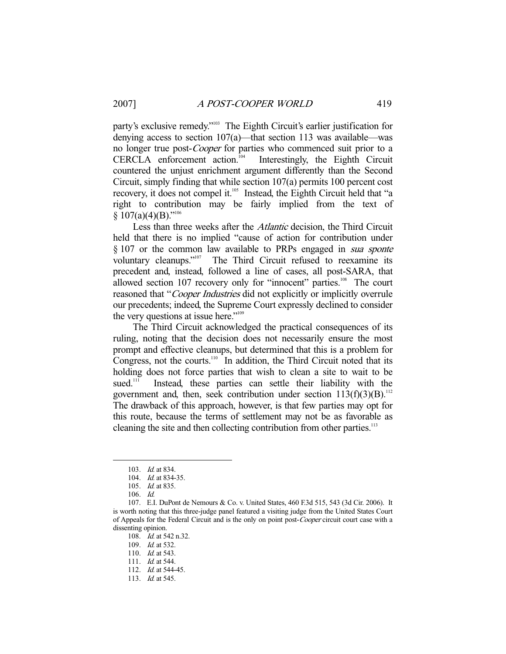party's exclusive remedy."<sup>103</sup> The Eighth Circuit's earlier justification for denying access to section 107(a)—that section 113 was available—was no longer true post-Cooper for parties who commenced suit prior to a CERCLA enforcement action.104 Interestingly, the Eighth Circuit countered the unjust enrichment argument differently than the Second Circuit, simply finding that while section 107(a) permits 100 percent cost recovery, it does not compel it.<sup>105</sup> Instead, the Eighth Circuit held that "a right to contribution may be fairly implied from the text of  $§ 107(a)(4)(B).$ <sup>"106</sup>

 Less than three weeks after the Atlantic decision, the Third Circuit held that there is no implied "cause of action for contribution under § 107 or the common law available to PRPs engaged in *sua sponte* voluntary cleanups."107 The Third Circuit refused to reexamine its precedent and, instead, followed a line of cases, all post-SARA, that allowed section  $107$  recovery only for "innocent" parties.<sup>108</sup> The court reasoned that "Cooper Industries did not explicitly or implicitly overrule our precedents; indeed, the Supreme Court expressly declined to consider the very questions at issue here."<sup>109</sup>

 The Third Circuit acknowledged the practical consequences of its ruling, noting that the decision does not necessarily ensure the most prompt and effective cleanups, but determined that this is a problem for Congress, not the courts.<sup>110</sup> In addition, the Third Circuit noted that its holding does not force parties that wish to clean a site to wait to be sued.<sup>111</sup> Instead, these parties can settle their liability with the government and, then, seek contribution under section  $113(f)(3)(B)$ .<sup>112</sup> The drawback of this approach, however, is that few parties may opt for this route, because the terms of settlement may not be as favorable as cleaning the site and then collecting contribution from other parties.<sup>113</sup>

 <sup>103.</sup> Id. at 834.

<sup>104.</sup> *Id.* at 834-35.

<sup>105.</sup> *Id.* at 835.

 <sup>106.</sup> Id.

 <sup>107.</sup> E.I. DuPont de Nemours & Co. v. United States, 460 F.3d 515, 543 (3d Cir. 2006). It is worth noting that this three-judge panel featured a visiting judge from the United States Court of Appeals for the Federal Circuit and is the only on point post-Cooper circuit court case with a dissenting opinion.

 <sup>108.</sup> Id. at 542 n.32.

<sup>109.</sup> *Id.* at 532.

<sup>110.</sup> *Id.* at 543.

<sup>111.</sup> *Id.* at 544.

 <sup>112.</sup> Id. at 544-45.

<sup>113.</sup> *Id.* at 545.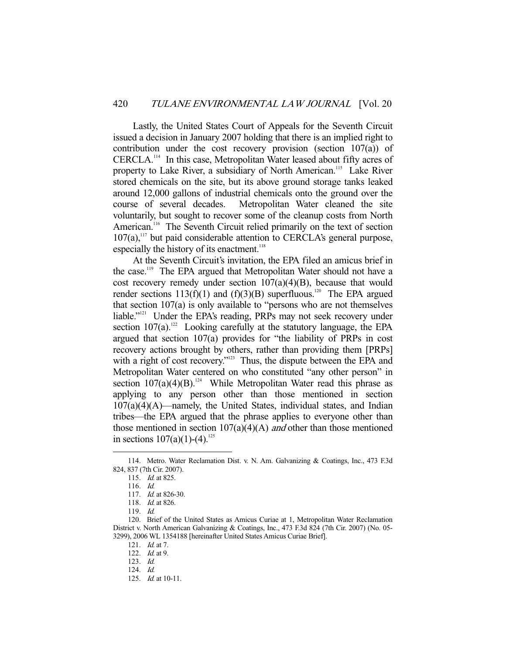Lastly, the United States Court of Appeals for the Seventh Circuit issued a decision in January 2007 holding that there is an implied right to contribution under the cost recovery provision (section 107(a)) of CERCLA.114 In this case, Metropolitan Water leased about fifty acres of property to Lake River, a subsidiary of North American.<sup>115</sup> Lake River stored chemicals on the site, but its above ground storage tanks leaked around 12,000 gallons of industrial chemicals onto the ground over the course of several decades. Metropolitan Water cleaned the site voluntarily, but sought to recover some of the cleanup costs from North American.<sup>116</sup> The Seventh Circuit relied primarily on the text of section  $107(a)$ ,<sup>117</sup> but paid considerable attention to CERCLA's general purpose, especially the history of its enactment.<sup>118</sup>

 At the Seventh Circuit's invitation, the EPA filed an amicus brief in the case.<sup>119</sup> The EPA argued that Metropolitan Water should not have a cost recovery remedy under section 107(a)(4)(B), because that would render sections 113(f)(1) and (f)(3)(B) superfluous.<sup>120</sup> The EPA argued that section 107(a) is only available to "persons who are not themselves liable."<sup>121</sup> Under the EPA's reading, PRPs may not seek recovery under section  $107(a)$ .<sup>122</sup> Looking carefully at the statutory language, the EPA argued that section 107(a) provides for "the liability of PRPs in cost recovery actions brought by others, rather than providing them [PRPs] with a right of cost recovery."<sup>123</sup> Thus, the dispute between the EPA and Metropolitan Water centered on who constituted "any other person" in section  $107(a)(4)(B)$ .<sup>124</sup> While Metropolitan Water read this phrase as applying to any person other than those mentioned in section  $107(a)(4)(A)$ —namely, the United States, individual states, and Indian tribes—the EPA argued that the phrase applies to everyone other than those mentioned in section  $107(a)(4)(A)$  and other than those mentioned in sections  $107(a)(1)-(4)^{125}$ 

 <sup>114.</sup> Metro. Water Reclamation Dist. v. N. Am. Galvanizing & Coatings, Inc., 473 F.3d 824, 837 (7th Cir. 2007).

 <sup>115.</sup> Id. at 825.

 <sup>116.</sup> Id.

 <sup>117.</sup> Id. at 826-30.

<sup>118.</sup> *Id.* at 826.

 <sup>119.</sup> Id.

 <sup>120.</sup> Brief of the United States as Amicus Curiae at 1, Metropolitan Water Reclamation District v. North American Galvanizing & Coatings, Inc., 473 F.3d 824 (7th Cir. 2007) (No. 05- 3299), 2006 WL 1354188 [hereinafter United States Amicus Curiae Brief].

 <sup>121.</sup> Id. at 7.

<sup>122.</sup> *Id.* at 9.

 <sup>123.</sup> Id.

 <sup>124.</sup> Id.

 <sup>125.</sup> Id. at 10-11.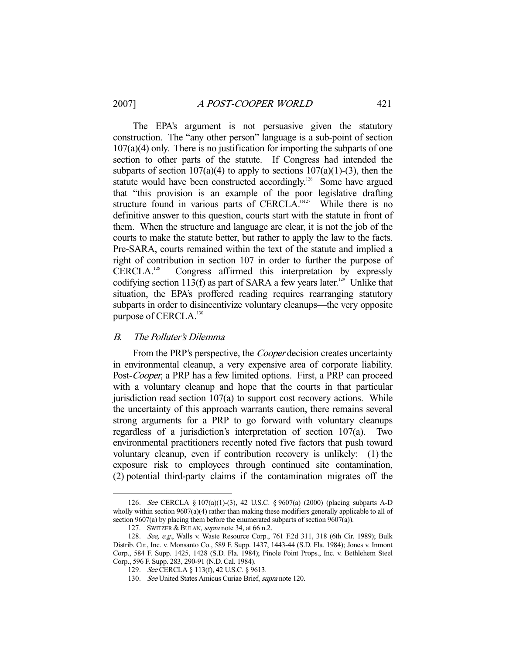The EPA's argument is not persuasive given the statutory construction. The "any other person" language is a sub-point of section  $107(a)(4)$  only. There is no justification for importing the subparts of one section to other parts of the statute. If Congress had intended the subparts of section  $107(a)(4)$  to apply to sections  $107(a)(1)-(3)$ , then the statute would have been constructed accordingly.<sup>126</sup> Some have argued that "this provision is an example of the poor legislative drafting structure found in various parts of CERCLA."<sup>127</sup> While there is no definitive answer to this question, courts start with the statute in front of them. When the structure and language are clear, it is not the job of the courts to make the statute better, but rather to apply the law to the facts. Pre-SARA, courts remained within the text of the statute and implied a right of contribution in section 107 in order to further the purpose of CERCLA.<sup>128</sup> Congress affirmed this interpretation by expressly Congress affirmed this interpretation by expressly codifying section 113(f) as part of SARA a few years later.<sup>129</sup> Unlike that situation, the EPA's proffered reading requires rearranging statutory subparts in order to disincentivize voluntary cleanups—the very opposite purpose of CERCLA.<sup>130</sup>

## B. The Polluter's Dilemma

-

From the PRP's perspective, the *Cooper* decision creates uncertainty in environmental cleanup, a very expensive area of corporate liability. Post-Cooper, a PRP has a few limited options. First, a PRP can proceed with a voluntary cleanup and hope that the courts in that particular jurisdiction read section  $107(a)$  to support cost recovery actions. While the uncertainty of this approach warrants caution, there remains several strong arguments for a PRP to go forward with voluntary cleanups regardless of a jurisdiction's interpretation of section  $107(a)$ . environmental practitioners recently noted five factors that push toward voluntary cleanup, even if contribution recovery is unlikely: (1) the exposure risk to employees through continued site contamination, (2) potential third-party claims if the contamination migrates off the

 <sup>126.</sup> See CERCLA § 107(a)(1)-(3), 42 U.S.C. § 9607(a) (2000) (placing subparts A-D wholly within section 9607(a)(4) rather than making these modifiers generally applicable to all of section 9607(a) by placing them before the enumerated subparts of section 9607(a)).

<sup>127.</sup> SWITZER & BULAN, *supra* note 34, at 66 n.2.

<sup>128.</sup> See, e.g., Walls v. Waste Resource Corp., 761 F.2d 311, 318 (6th Cir. 1989); Bulk Distrib. Ctr., Inc. v. Monsanto Co., 589 F. Supp. 1437, 1443-44 (S.D. Fla. 1984); Jones v. Inmont Corp., 584 F. Supp. 1425, 1428 (S.D. Fla. 1984); Pinole Point Props., Inc. v. Bethlehem Steel Corp., 596 F. Supp. 283, 290-91 (N.D. Cal. 1984).

<sup>129.</sup> See CERCLA § 113(f), 42 U.S.C. § 9613.

 <sup>130.</sup> See United States Amicus Curiae Brief, supra note 120.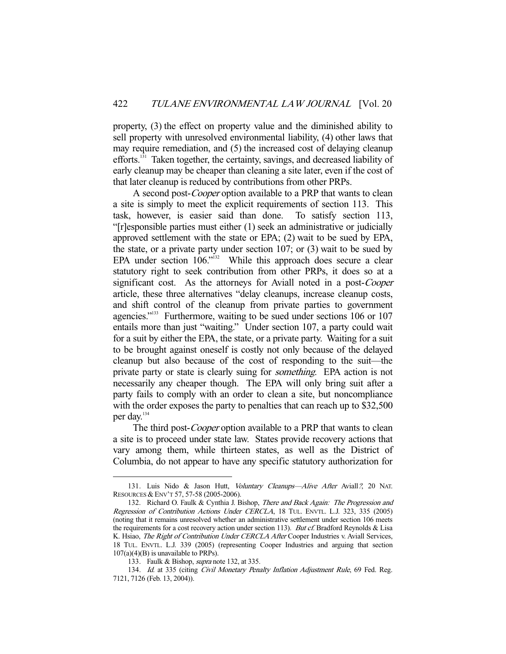property, (3) the effect on property value and the diminished ability to sell property with unresolved environmental liability, (4) other laws that may require remediation, and (5) the increased cost of delaying cleanup efforts.131 Taken together, the certainty, savings, and decreased liability of early cleanup may be cheaper than cleaning a site later, even if the cost of that later cleanup is reduced by contributions from other PRPs.

A second post-*Cooper* option available to a PRP that wants to clean a site is simply to meet the explicit requirements of section 113. This task, however, is easier said than done. To satisfy section 113, "[r]esponsible parties must either (1) seek an administrative or judicially approved settlement with the state or EPA; (2) wait to be sued by EPA, the state, or a private party under section 107; or (3) wait to be sued by EPA under section  $106$ ."<sup>132</sup> While this approach does secure a clear statutory right to seek contribution from other PRPs, it does so at a significant cost. As the attorneys for Aviall noted in a post-Cooper article, these three alternatives "delay cleanups, increase cleanup costs, and shift control of the cleanup from private parties to government agencies."<sup>133</sup> Furthermore, waiting to be sued under sections 106 or 107 entails more than just "waiting." Under section 107, a party could wait for a suit by either the EPA, the state, or a private party. Waiting for a suit to be brought against oneself is costly not only because of the delayed cleanup but also because of the cost of responding to the suit—the private party or state is clearly suing for *something*. EPA action is not necessarily any cheaper though. The EPA will only bring suit after a party fails to comply with an order to clean a site, but noncompliance with the order exposes the party to penalties that can reach up to \$32,500 per day.<sup>134</sup>

The third post-*Cooper* option available to a PRP that wants to clean a site is to proceed under state law. States provide recovery actions that vary among them, while thirteen states, as well as the District of Columbia, do not appear to have any specific statutory authorization for

<sup>131.</sup> Luis Nido & Jason Hutt, Voluntary Cleanups-Alive After Aviall?, 20 NAT. RESOURCES & ENV'T 57, 57-58 (2005-2006).

<sup>132.</sup> Richard O. Faulk & Cynthia J. Bishop, There and Back Again: The Progression and Regression of Contribution Actions Under CERCLA, 18 TUL. ENVTL. L.J. 323, 335 (2005) (noting that it remains unresolved whether an administrative settlement under section 106 meets the requirements for a cost recovery action under section 113). But cf. Bradford Reynolds & Lisa K. Hsiao, The Right of Contribution Under CERCLA After Cooper Industries v. Aviall Services, 18 TUL. ENVTL. L.J. 339 (2005) (representing Cooper Industries and arguing that section  $107(a)(4)(B)$  is unavailable to PRPs).

<sup>133.</sup> Faulk & Bishop, *supra* note 132, at 335.

<sup>134.</sup> Id. at 335 (citing Civil Monetary Penalty Inflation Adjustment Rule, 69 Fed. Reg. 7121, 7126 (Feb. 13, 2004)).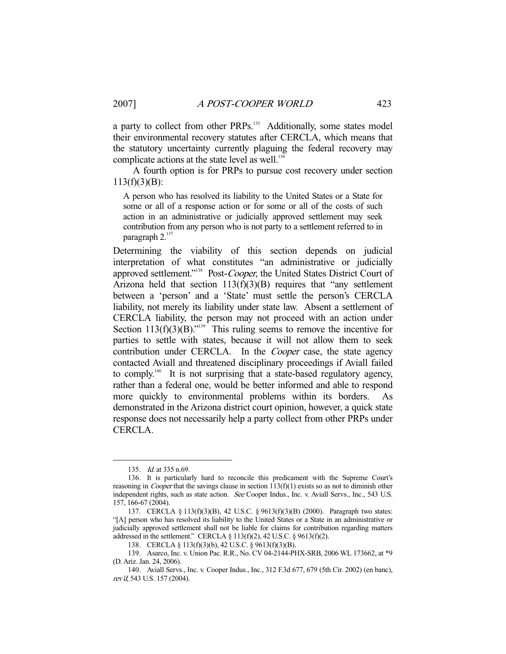a party to collect from other PRPs.<sup>135</sup> Additionally, some states model their environmental recovery statutes after CERCLA, which means that the statutory uncertainty currently plaguing the federal recovery may complicate actions at the state level as well.<sup>136</sup>

 A fourth option is for PRPs to pursue cost recovery under section  $113(f)(3)(B)$ :

A person who has resolved its liability to the United States or a State for some or all of a response action or for some or all of the costs of such action in an administrative or judicially approved settlement may seek contribution from any person who is not party to a settlement referred to in paragraph 2.<sup>137</sup>

Determining the viability of this section depends on judicial interpretation of what constitutes "an administrative or judicially approved settlement."<sup>138</sup> Post-Cooper, the United States District Court of Arizona held that section  $113(f)(3)(B)$  requires that "any settlement" between a 'person' and a 'State' must settle the person's CERCLA liability, not merely its liability under state law. Absent a settlement of CERCLA liability, the person may not proceed with an action under Section  $113(f)(3)(B)$ ."<sup>139</sup> This ruling seems to remove the incentive for parties to settle with states, because it will not allow them to seek contribution under CERCLA. In the *Cooper* case, the state agency contacted Aviall and threatened disciplinary proceedings if Aviall failed to comply.<sup>140</sup> It is not surprising that a state-based regulatory agency, rather than a federal one, would be better informed and able to respond more quickly to environmental problems within its borders. As demonstrated in the Arizona district court opinion, however, a quick state response does not necessarily help a party collect from other PRPs under CERCLA.

 <sup>135.</sup> Id. at 335 n.69.

 <sup>136.</sup> It is particularly hard to reconcile this predicament with the Supreme Court's reasoning in *Cooper* that the savings clause in section  $113(f)(1)$  exists so as not to diminish other independent rights, such as state action. See Cooper Indus., Inc. v. Aviall Servs., Inc., 543 U.S. 157, 166-67 (2004).

 <sup>137.</sup> CERCLA § 113(f)(3)(B), 42 U.S.C. § 9613(f)(3)(B) (2000). Paragraph two states: "[A] person who has resolved its liability to the United States or a State in an administrative or judicially approved settlement shall not be liable for claims for contribution regarding matters addressed in the settlement." CERCLA  $\S$  113(f)(2), 42 U.S.C.  $\S$  9613(f)(2).

 <sup>138.</sup> CERCLA § 113(f)(3)(b), 42 U.S.C. § 9613(f)(3)(B).

 <sup>139.</sup> Asarco, Inc. v. Union Pac. R.R., No. CV 04-2144-PHX-SRB, 2006 WL 173662, at \*9 (D. Ariz. Jan. 24, 2006).

 <sup>140.</sup> Aviall Servs., Inc. v. Cooper Indus., Inc., 312 F.3d 677, 679 (5th Cir. 2002) (en banc), rev'd, 543 U.S. 157 (2004).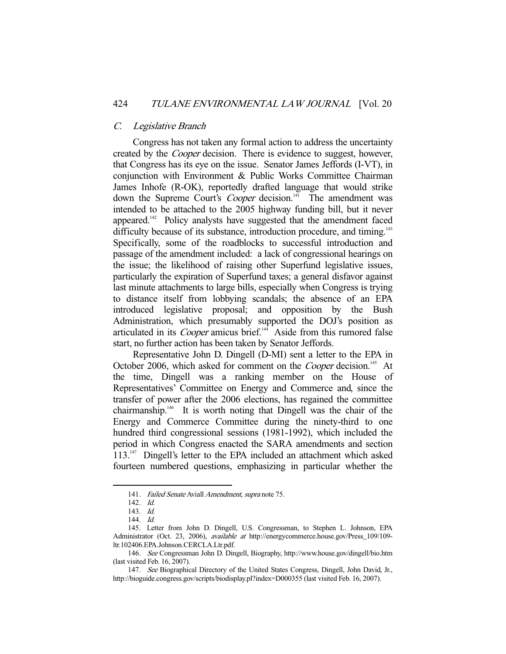#### C. Legislative Branch

 Congress has not taken any formal action to address the uncertainty created by the Cooper decision. There is evidence to suggest, however, that Congress has its eye on the issue. Senator James Jeffords (I-VT), in conjunction with Environment & Public Works Committee Chairman James Inhofe (R-OK), reportedly drafted language that would strike down the Supreme Court's *Cooper* decision.<sup>141</sup> The amendment was intended to be attached to the 2005 highway funding bill, but it never appeared.<sup>142</sup> Policy analysts have suggested that the amendment faced difficulty because of its substance, introduction procedure, and timing.<sup>143</sup> Specifically, some of the roadblocks to successful introduction and passage of the amendment included: a lack of congressional hearings on the issue; the likelihood of raising other Superfund legislative issues, particularly the expiration of Superfund taxes; a general disfavor against last minute attachments to large bills, especially when Congress is trying to distance itself from lobbying scandals; the absence of an EPA introduced legislative proposal; and opposition by the Bush Administration, which presumably supported the DOJ's position as articulated in its *Cooper* amicus brief.<sup>144</sup> Aside from this rumored false start, no further action has been taken by Senator Jeffords.

 Representative John D. Dingell (D-MI) sent a letter to the EPA in October 2006, which asked for comment on the *Cooper* decision.<sup>145</sup> At the time, Dingell was a ranking member on the House of Representatives' Committee on Energy and Commerce and, since the transfer of power after the 2006 elections, has regained the committee chairmanship.146 It is worth noting that Dingell was the chair of the Energy and Commerce Committee during the ninety-third to one hundred third congressional sessions (1981-1992), which included the period in which Congress enacted the SARA amendments and section 113.<sup>147</sup> Dingell's letter to the EPA included an attachment which asked fourteen numbered questions, emphasizing in particular whether the

<sup>141.</sup> Failed Senate Aviall Amendment, supra note 75.

 <sup>142.</sup> Id.

 <sup>143.</sup> Id.

 <sup>144.</sup> Id.

 <sup>145.</sup> Letter from John D. Dingell, U.S. Congressman, to Stephen L. Johnson, EPA Administrator (Oct. 23, 2006), available at http://energycommerce.house.gov/Press\_109/109 ltr.102406.EPA.Johnson.CERCLA.Ltr.pdf.

 <sup>146.</sup> See Congressman John D. Dingell, Biography, http://www.house.gov/dingell/bio.htm (last visited Feb. 16, 2007).

<sup>147.</sup> See Biographical Directory of the United States Congress, Dingell, John David, Jr., http://bioguide.congress.gov/scripts/biodisplay.pl?index=D000355 (last visited Feb. 16, 2007).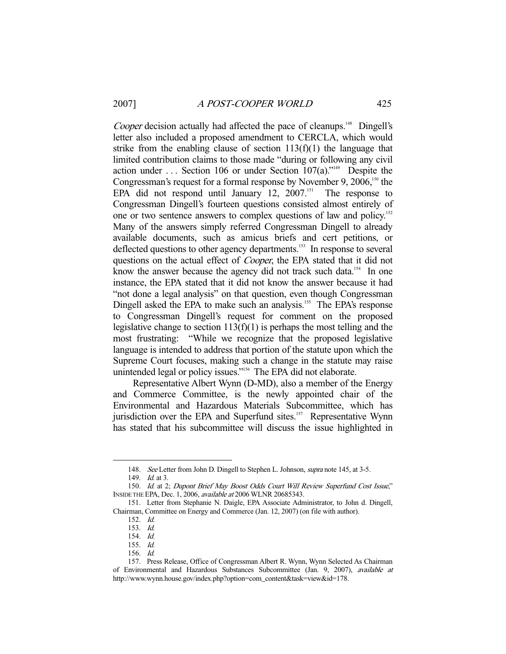Cooper decision actually had affected the pace of cleanups.<sup>148</sup> Dingell's letter also included a proposed amendment to CERCLA, which would strike from the enabling clause of section  $113(f)(1)$  the language that limited contribution claims to those made "during or following any civil action under  $\ldots$  Section 106 or under Section 107(a)."<sup>149</sup> Despite the Congressman's request for a formal response by November 9,  $2006$ <sup>150</sup>, the EPA did not respond until January 12,  $2007$ .<sup>151</sup> The response to Congressman Dingell's fourteen questions consisted almost entirely of one or two sentence answers to complex questions of law and policy.<sup>152</sup> Many of the answers simply referred Congressman Dingell to already available documents, such as amicus briefs and cert petitions, or deflected questions to other agency departments.<sup>153</sup> In response to several questions on the actual effect of Cooper, the EPA stated that it did not know the answer because the agency did not track such data.<sup>154</sup> In one instance, the EPA stated that it did not know the answer because it had "not done a legal analysis" on that question, even though Congressman Dingell asked the EPA to make such an analysis.<sup>155</sup> The EPA's response to Congressman Dingell's request for comment on the proposed legislative change to section  $113(f)(1)$  is perhaps the most telling and the most frustrating: "While we recognize that the proposed legislative language is intended to address that portion of the statute upon which the Supreme Court focuses, making such a change in the statute may raise unintended legal or policy issues."<sup>156</sup> The EPA did not elaborate.

 Representative Albert Wynn (D-MD), also a member of the Energy and Commerce Committee, is the newly appointed chair of the Environmental and Hazardous Materials Subcommittee, which has jurisdiction over the EPA and Superfund sites.<sup>157</sup> Representative Wynn has stated that his subcommittee will discuss the issue highlighted in

<sup>148.</sup> See Letter from John D. Dingell to Stephen L. Johnson, supra note 145, at 3-5.

<sup>149.</sup> *Id.* at 3.

 <sup>150.</sup> Id. at 2; Dupont Brief May Boost Odds Court Will Review Superfund Cost Issue," INSIDE THE EPA, Dec. 1, 2006, available at 2006 WLNR 20685343.

 <sup>151.</sup> Letter from Stephanie N. Daigle, EPA Associate Administrator, to John d. Dingell, Chairman, Committee on Energy and Commerce (Jan. 12, 2007) (on file with author).

 <sup>152.</sup> Id.

 <sup>153.</sup> Id.

 <sup>154.</sup> Id.

 <sup>155.</sup> Id.

 <sup>156.</sup> Id.

 <sup>157.</sup> Press Release, Office of Congressman Albert R. Wynn, Wynn Selected As Chairman of Environmental and Hazardous Substances Subcommittee (Jan. 9, 2007), available at http://www.wynn.house.gov/index.php?option=com\_content&task=view&id=178.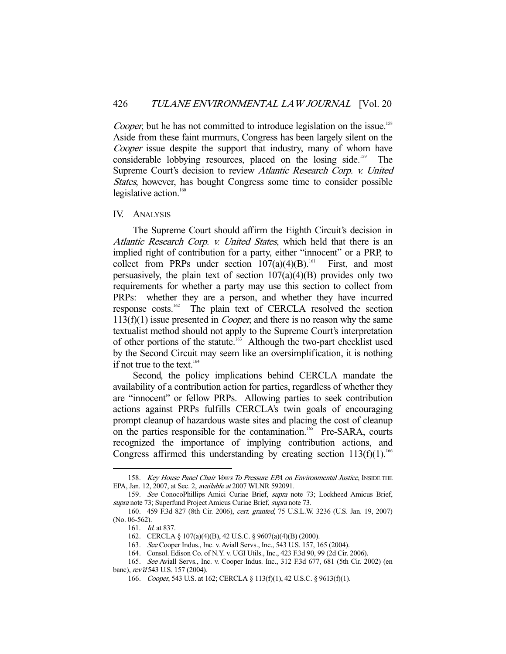Cooper, but he has not committed to introduce legislation on the issue.<sup>158</sup> Aside from these faint murmurs, Congress has been largely silent on the Cooper issue despite the support that industry, many of whom have considerable lobbying resources, placed on the losing side.<sup>159</sup> The Supreme Court's decision to review Atlantic Research Corp. v. United States, however, has bought Congress some time to consider possible legislative action.<sup>160</sup>

#### IV. ANALYSIS

 The Supreme Court should affirm the Eighth Circuit's decision in Atlantic Research Corp. v. United States, which held that there is an implied right of contribution for a party, either "innocent" or a PRP, to collect from PRPs under section  $107(a)(4)(B)$ .<sup>161</sup> First, and most persuasively, the plain text of section  $107(a)(4)(B)$  provides only two requirements for whether a party may use this section to collect from PRPs: whether they are a person, and whether they have incurred response costs.162 The plain text of CERCLA resolved the section  $113(f)(1)$  issue presented in *Cooper*, and there is no reason why the same textualist method should not apply to the Supreme Court's interpretation of other portions of the statute.<sup>163</sup> Although the two-part checklist used by the Second Circuit may seem like an oversimplification, it is nothing if not true to the text. $164$ 

 Second, the policy implications behind CERCLA mandate the availability of a contribution action for parties, regardless of whether they are "innocent" or fellow PRPs. Allowing parties to seek contribution actions against PRPs fulfills CERCLA's twin goals of encouraging prompt cleanup of hazardous waste sites and placing the cost of cleanup on the parties responsible for the contamination.<sup>165</sup> Pre-SARA, courts recognized the importance of implying contribution actions, and Congress affirmed this understanding by creating section  $113(f)(1)$ .<sup>166</sup>

<sup>158.</sup> Key House Panel Chair Vows To Pressure EPA on Environmental Justice, INSIDE THE EPA, Jan. 12, 2007, at Sec. 2, available at 2007 WLNR 592091.

 <sup>159.</sup> See ConocoPhillips Amici Curiae Brief, supra note 73; Lockheed Amicus Brief, supra note 73; Superfund Project Amicus Curiae Brief, supra note 73.

 <sup>160. 459</sup> F.3d 827 (8th Cir. 2006), cert. granted, 75 U.S.L.W. 3236 (U.S. Jan. 19, 2007) (No. 06-562).

 <sup>161.</sup> Id. at 837.

 <sup>162.</sup> CERCLA § 107(a)(4)(B), 42 U.S.C. § 9607(a)(4)(B) (2000).

 <sup>163.</sup> See Cooper Indus., Inc. v. Aviall Servs., Inc., 543 U.S. 157, 165 (2004).

 <sup>164.</sup> Consol. Edison Co. of N.Y. v. UGI Utils., Inc., 423 F.3d 90, 99 (2d Cir. 2006).

 <sup>165.</sup> See Aviall Servs., Inc. v. Cooper Indus. Inc., 312 F.3d 677, 681 (5th Cir. 2002) (en banc), rev'd 543 U.S. 157 (2004).

<sup>166.</sup> Cooper, 543 U.S. at 162; CERCLA § 113(f)(1), 42 U.S.C. § 9613(f)(1).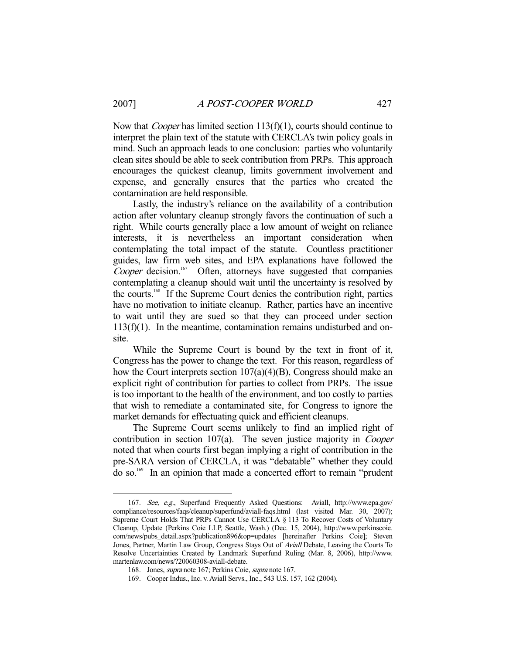Now that *Cooper* has limited section 113(f)(1), courts should continue to interpret the plain text of the statute with CERCLA's twin policy goals in mind. Such an approach leads to one conclusion: parties who voluntarily clean sites should be able to seek contribution from PRPs. This approach encourages the quickest cleanup, limits government involvement and expense, and generally ensures that the parties who created the contamination are held responsible.

 Lastly, the industry's reliance on the availability of a contribution action after voluntary cleanup strongly favors the continuation of such a right. While courts generally place a low amount of weight on reliance interests, it is nevertheless an important consideration when contemplating the total impact of the statute. Countless practitioner guides, law firm web sites, and EPA explanations have followed the Cooper decision.<sup>167</sup> Often, attorneys have suggested that companies contemplating a cleanup should wait until the uncertainty is resolved by the courts.168 If the Supreme Court denies the contribution right, parties have no motivation to initiate cleanup. Rather, parties have an incentive to wait until they are sued so that they can proceed under section  $113(f)(1)$ . In the meantime, contamination remains undisturbed and onsite.

 While the Supreme Court is bound by the text in front of it, Congress has the power to change the text. For this reason, regardless of how the Court interprets section 107(a)(4)(B), Congress should make an explicit right of contribution for parties to collect from PRPs. The issue is too important to the health of the environment, and too costly to parties that wish to remediate a contaminated site, for Congress to ignore the market demands for effectuating quick and efficient cleanups.

 The Supreme Court seems unlikely to find an implied right of contribution in section 107(a). The seven justice majority in *Cooper* noted that when courts first began implying a right of contribution in the pre-SARA version of CERCLA, it was "debatable" whether they could do so.169 In an opinion that made a concerted effort to remain "prudent

 <sup>167.</sup> See, e.g., Superfund Frequently Asked Questions: Aviall, http://www.epa.gov/ compliance/resources/faqs/cleanup/superfund/aviall-faqs.html (last visited Mar. 30, 2007); Supreme Court Holds That PRPs Cannot Use CERCLA § 113 To Recover Costs of Voluntary Cleanup, Update (Perkins Coie LLP, Seattle, Wash.) (Dec. 15, 2004), http://www.perkinscoie. com/news/pubs\_detail.aspx?publication896&op=updates [hereinafter Perkins Coie]; Steven Jones, Partner, Martin Law Group, Congress Stays Out of Aviall Debate, Leaving the Courts To Resolve Uncertainties Created by Landmark Superfund Ruling (Mar. 8, 2006), http://www. martenlaw.com/news/?20060308-aviall-debate.

 <sup>168.</sup> Jones, supra note 167; Perkins Coie, supra note 167.

 <sup>169.</sup> Cooper Indus., Inc. v. Aviall Servs., Inc., 543 U.S. 157, 162 (2004).